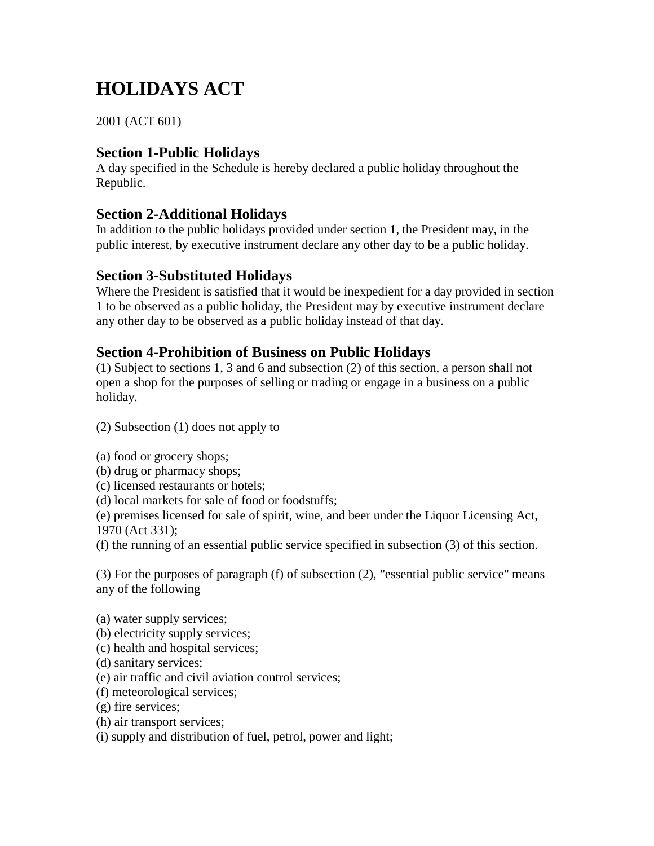# **HOLIDAYS ACT**

2001 (ACT 601)

# **Section 1-Public Holidays**

A day specified in the Schedule is hereby declared a public holiday throughout the Republic.

## **Section 2-Additional Holidays**

In addition to the public holidays provided under section 1, the President may, in the public interest, by executive instrument declare any other day to be a public holiday.

# **Section 3-Substituted Holidays**

Where the President is satisfied that it would be inexpedient for a day provided in section 1 to be observed as a public holiday, the President may by executive instrument declare any other day to be observed as a public holiday instead of that day.

## **Section 4-Prohibition of Business on Public Holidays**

(1) Subject to sections 1, 3 and 6 and subsection (2) of this section, a person shall not open a shop for the purposes of selling or trading or engage in a business on a public holiday.

(2) Subsection (1) does not apply to

(a) food or grocery shops;

(b) drug or pharmacy shops;

(c) licensed restaurants or hotels;

(d) local markets for sale of food or foodstuffs;

(e) premises licensed for sale of spirit, wine, and beer under the Liquor Licensing Act, 1970 (Act 331);

(f) the running of an essential public service specified in subsection (3) of this section.

(3) For the purposes of paragraph (f) of subsection (2), "essential public service" means any of the following

(a) water supply services;

- (b) electricity supply services;
- (c) health and hospital services;
- (d) sanitary services;
- (e) air traffic and civil aviation control services;
- (f) meteorological services;
- (g) fire services;
- (h) air transport services;

(i) supply and distribution of fuel, petrol, power and light;